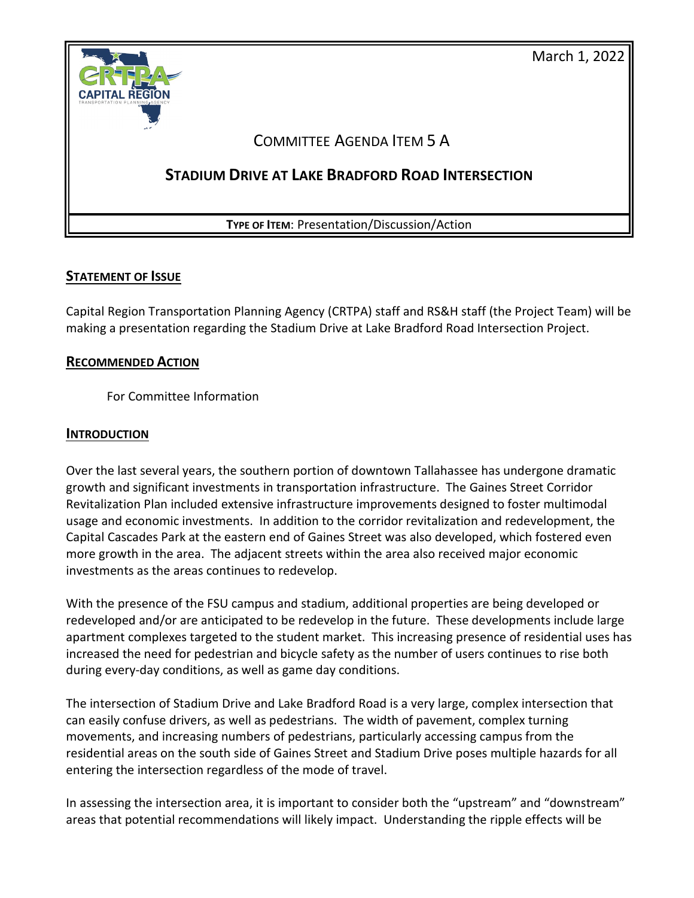

#### **STATEMENT OF ISSUE**

Capital Region Transportation Planning Agency (CRTPA) staff and RS&H staff (the Project Team) will be making a presentation regarding the Stadium Drive at Lake Bradford Road Intersection Project.

#### **RECOMMENDED ACTION**

For Committee Information

#### **INTRODUCTION**

Over the last several years, the southern portion of downtown Tallahassee has undergone dramatic growth and significant investments in transportation infrastructure. The Gaines Street Corridor Revitalization Plan included extensive infrastructure improvements designed to foster multimodal usage and economic investments. In addition to the corridor revitalization and redevelopment, the Capital Cascades Park at the eastern end of Gaines Street was also developed, which fostered even more growth in the area. The adjacent streets within the area also received major economic investments as the areas continues to redevelop.

With the presence of the FSU campus and stadium, additional properties are being developed or redeveloped and/or are anticipated to be redevelop in the future. These developments include large apartment complexes targeted to the student market. This increasing presence of residential uses has increased the need for pedestrian and bicycle safety as the number of users continues to rise both during every-day conditions, as well as game day conditions.

The intersection of Stadium Drive and Lake Bradford Road is a very large, complex intersection that can easily confuse drivers, as well as pedestrians. The width of pavement, complex turning movements, and increasing numbers of pedestrians, particularly accessing campus from the residential areas on the south side of Gaines Street and Stadium Drive poses multiple hazards for all entering the intersection regardless of the mode of travel.

In assessing the intersection area, it is important to consider both the "upstream" and "downstream" areas that potential recommendations will likely impact. Understanding the ripple effects will be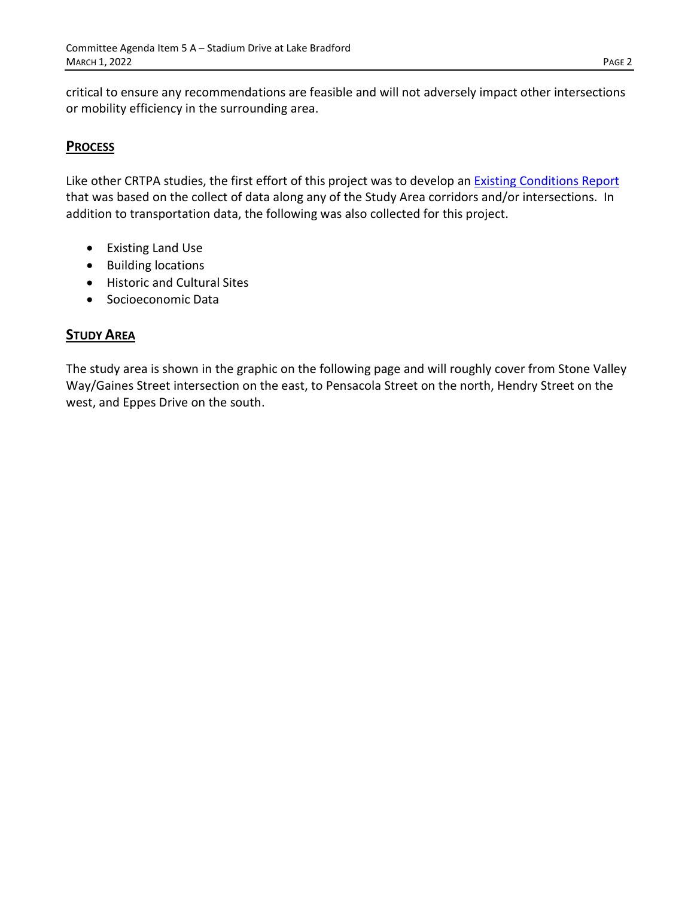critical to ensure any recommendations are feasible and will not adversely impact other intersections or mobility efficiency in the surrounding area.

## **PROCESS**

Like other CRTPA studies, the first effort of this project was to develop an **Existing Conditions Report** that was based on the collect of data along any of the Study Area corridors and/or intersections. In addition to transportation data, the following was also collected for this project.

- Existing Land Use
- Building locations
- Historic and Cultural Sites
- Socioeconomic Data

#### **STUDY AREA**

The study area is shown in the graphic on the following page and will roughly cover from Stone Valley Way/Gaines Street intersection on the east, to Pensacola Street on the north, Hendry Street on the west, and Eppes Drive on the south.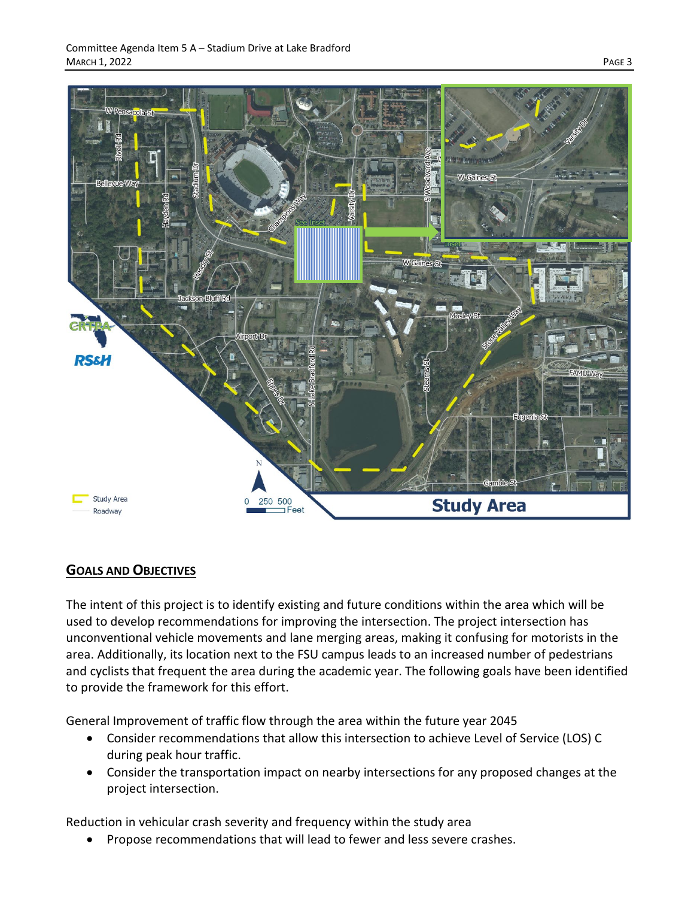

# **GOALS AND OBJECTIVES**

The intent of this project is to identify existing and future conditions within the area which will be used to develop recommendations for improving the intersection. The project intersection has unconventional vehicle movements and lane merging areas, making it confusing for motorists in the area. Additionally, its location next to the FSU campus leads to an increased number of pedestrians and cyclists that frequent the area during the academic year. The following goals have been identified to provide the framework for this effort.

General Improvement of traffic flow through the area within the future year 2045

- Consider recommendations that allow this intersection to achieve Level of Service (LOS) C during peak hour traffic.
- Consider the transportation impact on nearby intersections for any proposed changes at the project intersection.

Reduction in vehicular crash severity and frequency within the study area

• Propose recommendations that will lead to fewer and less severe crashes.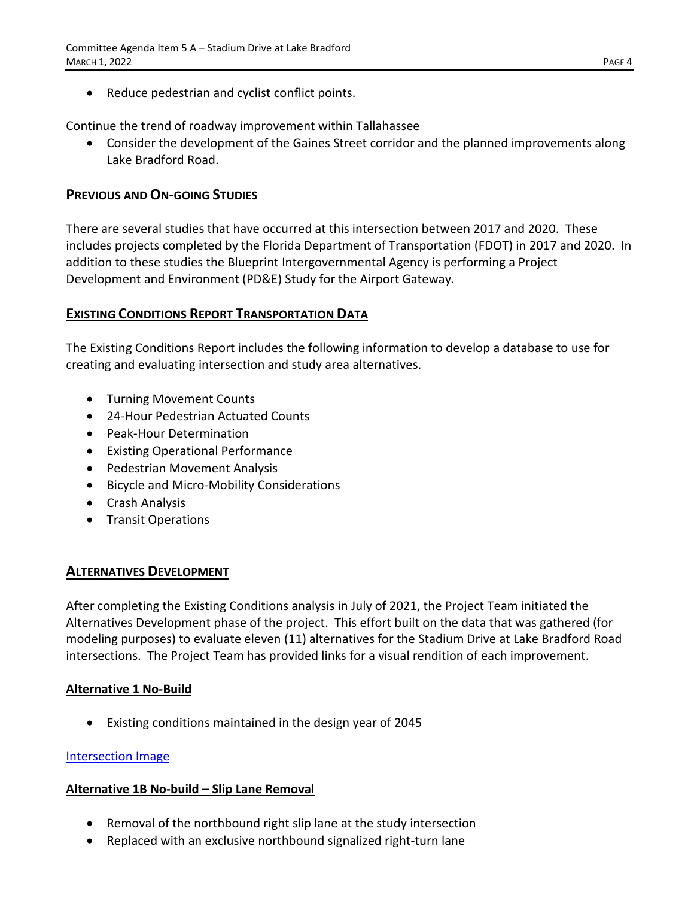Reduce pedestrian and cyclist conflict points.

Continue the trend of roadway improvement within Tallahassee

• Consider the development of the Gaines Street corridor and the planned improvements along Lake Bradford Road.

## **PREVIOUS AND ON-GOING STUDIES**

There are several studies that have occurred at this intersection between 2017 and 2020. These includes projects completed by the Florida Department of Transportation (FDOT) in 2017 and 2020. In addition to these studies the Blueprint Intergovernmental Agency is performing a Project Development and Environment (PD&E) Study for the Airport Gateway.

## **EXISTING CONDITIONS REPORT TRANSPORTATION DATA**

The Existing Conditions Report includes the following information to develop a database to use for creating and evaluating intersection and study area alternatives.

- Turning Movement Counts
- 24-Hour Pedestrian Actuated Counts
- Peak-Hour Determination
- Existing Operational Performance
- Pedestrian Movement Analysis
- Bicycle and Micro-Mobility Considerations
- Crash Analysis
- Transit Operations

## **ALTERNATIVES DEVELOPMENT**

After completing the Existing Conditions analysis in July of 2021, the Project Team initiated the Alternatives Development phase of the project. This effort built on the data that was gathered (for modeling purposes) to evaluate eleven (11) alternatives for the Stadium Drive at Lake Bradford Road intersections. The Project Team has provided links for a visual rendition of each improvement.

## **Alternative 1 No-Build**

• Existing conditions maintained in the design year of 2045

## [Intersection Image](http://crtpa.org/wp-content/uploads/Stadium-Drive-at-LBR-Alternative-1-scaled.jpg)

## **Alternative 1B No-build – Slip Lane Removal**

- Removal of the northbound right slip lane at the study intersection
- Replaced with an exclusive northbound signalized right-turn lane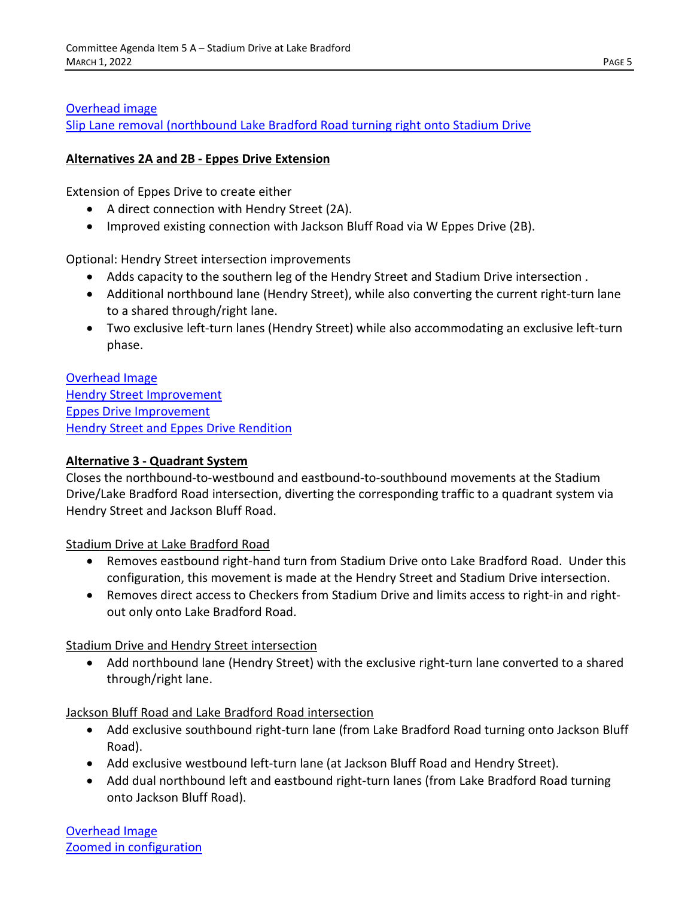#### [Overhead image](http://crtpa.org/wp-content/uploads/Stadium-Drive-at-LBR-Alternative-1B-general-area.jpg)

[Slip Lane removal \(northbound Lake Bradford Road turning right onto Stadium Drive](http://crtpa.org/wp-content/uploads/Stadium-Drive-at-LBR-Alternative-1B-intersection-scaled.jpg)

#### **Alternatives 2A and 2B - Eppes Drive Extension**

Extension of Eppes Drive to create either

- A direct connection with Hendry Street (2A).
- Improved existing connection with Jackson Bluff Road via W Eppes Drive (2B).

Optional: Hendry Street intersection improvements

- Adds capacity to the southern leg of the Hendry Street and Stadium Drive intersection .
- Additional northbound lane (Hendry Street), while also converting the current right-turn lane to a shared through/right lane.
- Two exclusive left-turn lanes (Hendry Street) while also accommodating an exclusive left-turn phase.

[Overhead Image](http://crtpa.org/wp-content/uploads/Alt-2a-and-2b.jpg) [Hendry Street Improvement](http://crtpa.org/wp-content/uploads/Alternative-2A-and-2B-Hendry-Street-scaled.jpg) [Eppes Drive Improvement](http://crtpa.org/wp-content/uploads/Alternative-2A-and-2B-eppes-Drive-scaled.jpg) [Hendry Street and Eppes Drive Rendition](http://crtpa.org/wp-content/uploads/eppes-and-Hendry-scaled.jpg)

#### **Alternative 3 - Quadrant System**

Closes the northbound-to-westbound and eastbound-to-southbound movements at the Stadium Drive/Lake Bradford Road intersection, diverting the corresponding traffic to a quadrant system via Hendry Street and Jackson Bluff Road.

Stadium Drive at Lake Bradford Road

- Removes eastbound right-hand turn from Stadium Drive onto Lake Bradford Road. Under this configuration, this movement is made at the Hendry Street and Stadium Drive intersection.
- Removes direct access to Checkers from Stadium Drive and limits access to right-in and rightout only onto Lake Bradford Road.

Stadium Drive and Hendry Street intersection

• Add northbound lane (Hendry Street) with the exclusive right-turn lane converted to a shared through/right lane.

Jackson Bluff Road and Lake Bradford Road intersection

- Add exclusive southbound right-turn lane (from Lake Bradford Road turning onto Jackson Bluff Road).
- Add exclusive westbound left-turn lane (at Jackson Bluff Road and Hendry Street).
- Add dual northbound left and eastbound right-turn lanes (from Lake Bradford Road turning onto Jackson Bluff Road).

[Overhead](http://crtpa.org/wp-content/uploads/Alt-3-overhead.jpg) Image [Zoomed in configuration](http://crtpa.org/wp-content/uploads/Alt-3-zoom.jpg)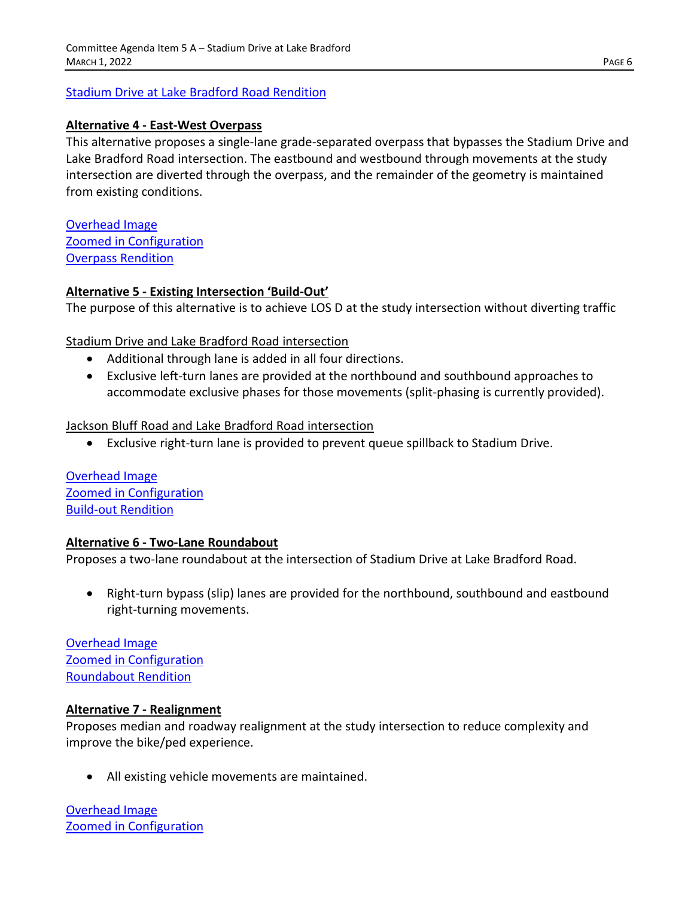[Stadium Drive at Lake Bradford Road Rendition](http://crtpa.org/wp-content/uploads/Alternative-3-rendition-scaled.jpg)

#### **Alternative 4 - East-West Overpass**

This alternative proposes a single-lane grade-separated overpass that bypasses the Stadium Drive and Lake Bradford Road intersection. The eastbound and westbound through movements at the study intersection are diverted through the overpass, and the remainder of the geometry is maintained from existing conditions.

[Overhead Image](http://crtpa.org/wp-content/uploads/alt-4-overhead.jpg) [Zoomed in Configuration](http://crtpa.org/wp-content/uploads/alt-4-zoom-scaled.jpg) [Overpass Rendition](http://crtpa.org/wp-content/uploads/alt-4-rendition-scaled.jpg)

#### **Alternative 5 - Existing Intersection 'Build-Out'**

The purpose of this alternative is to achieve LOS D at the study intersection without diverting traffic

Stadium Drive and Lake Bradford Road intersection

- Additional through lane is added in all four directions.
- Exclusive left-turn lanes are provided at the northbound and southbound approaches to accommodate exclusive phases for those movements (split-phasing is currently provided).

#### Jackson Bluff Road and Lake Bradford Road intersection

• Exclusive right-turn lane is provided to prevent queue spillback to Stadium Drive.

[Overhead Image](http://crtpa.org/wp-content/uploads/Alt-5-overhead.jpg) [Zoomed in Configuration](http://crtpa.org/wp-content/uploads/Alt-5-zoomed-scaled.jpg) **[Build-out Rendition](http://crtpa.org/wp-content/uploads/alt-5-rendition-scaled.jpg)** 

#### **Alternative 6 - Two-Lane Roundabout**

Proposes a two-lane roundabout at the intersection of Stadium Drive at Lake Bradford Road.

• Right-turn bypass (slip) lanes are provided for the northbound, southbound and eastbound right-turning movements.

[Overhead Image](http://crtpa.org/wp-content/uploads/alt-6-overhead.jpg) [Zoomed in Configuration](http://crtpa.org/wp-content/uploads/Alt-6-zoomed-scaled.jpg) [Roundabout Rendition](http://crtpa.org/wp-content/uploads/alt-6-rendition-scaled.jpg)

#### **Alternative 7 - Realignment**

Proposes median and roadway realignment at the study intersection to reduce complexity and improve the bike/ped experience.

• All existing vehicle movements are maintained.

[Overhead Image](http://crtpa.org/wp-content/uploads/Alt-7-overhead.jpg) [Zoomed in Configuration](http://crtpa.org/wp-content/uploads/Alt-7-zoomed-scaled.jpg)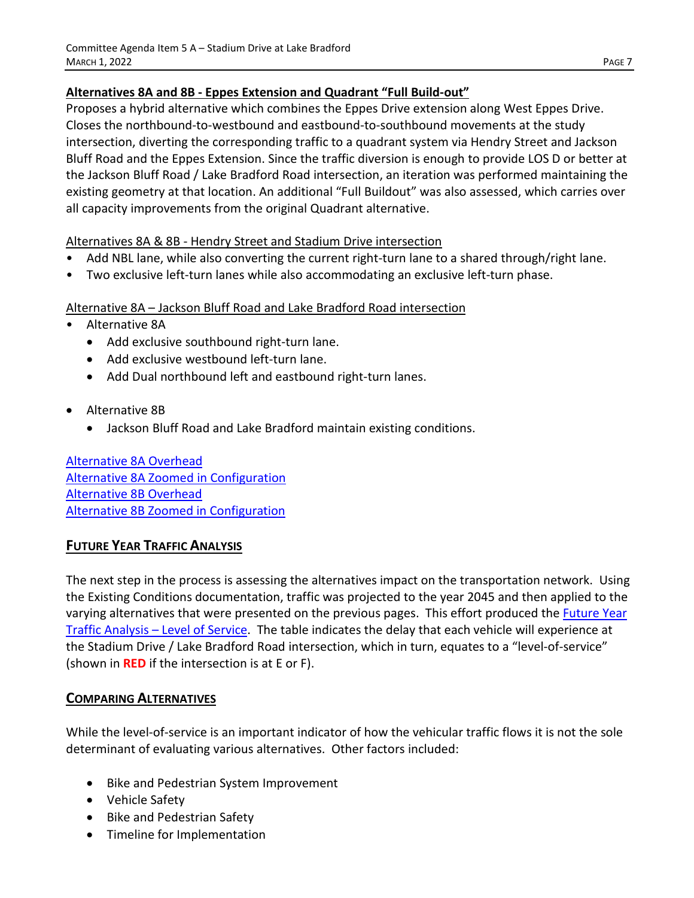## **Alternatives 8A and 8B - Eppes Extension and Quadrant "Full Build-out"**

Proposes a hybrid alternative which combines the Eppes Drive extension along West Eppes Drive. Closes the northbound-to-westbound and eastbound-to-southbound movements at the study intersection, diverting the corresponding traffic to a quadrant system via Hendry Street and Jackson Bluff Road and the Eppes Extension. Since the traffic diversion is enough to provide LOS D or better at the Jackson Bluff Road / Lake Bradford Road intersection, an iteration was performed maintaining the existing geometry at that location. An additional "Full Buildout" was also assessed, which carries over all capacity improvements from the original Quadrant alternative.

## Alternatives 8A & 8B - Hendry Street and Stadium Drive intersection

- Add NBL lane, while also converting the current right-turn lane to a shared through/right lane.
- Two exclusive left-turn lanes while also accommodating an exclusive left-turn phase.

## Alternative 8A – Jackson Bluff Road and Lake Bradford Road intersection

- Alternative 8A
	- Add exclusive southbound right-turn lane.
	- Add exclusive westbound left-turn lane.
	- Add Dual northbound left and eastbound right-turn lanes.
- Alternative 8B
	- Jackson Bluff Road and Lake Bradford maintain existing conditions.

[Alternative 8A Overhead](http://crtpa.org/wp-content/uploads/Alt-8A-overhead.jpg) [Alternative 8A Zoomed in Configuration](http://crtpa.org/wp-content/uploads/alt-8A-zoomed-scaled.jpg) [Alternative 8B Overhead](http://crtpa.org/wp-content/uploads/alt-8B-zoomed-scaled.jpg) [Alternative 8B Zoomed in Configuration](http://crtpa.org/wp-content/uploads/alt-8B-zoomed-scaled.jpg)

# **FUTURE YEAR TRAFFIC ANALYSIS**

The next step in the process is assessing the alternatives impact on the transportation network. Using the Existing Conditions documentation, traffic was projected to the year 2045 and then applied to the varying alternatives that were presented on the previous pages. This effort produced th[e Future Year](http://crtpa.org/wp-content/uploads/Future-Year-Traffic-Analysis.pdf)  [Traffic Analysis –](http://crtpa.org/wp-content/uploads/Future-Year-Traffic-Analysis.pdf) Level of Service. The table indicates the delay that each vehicle will experience at the Stadium Drive / Lake Bradford Road intersection, which in turn, equates to a "level-of-service" (shown in **RED** if the intersection is at E or F).

# **COMPARING ALTERNATIVES**

While the level-of-service is an important indicator of how the vehicular traffic flows it is not the sole determinant of evaluating various alternatives. Other factors included:

- Bike and Pedestrian System Improvement
- Vehicle Safety
- Bike and Pedestrian Safety
- Timeline for Implementation